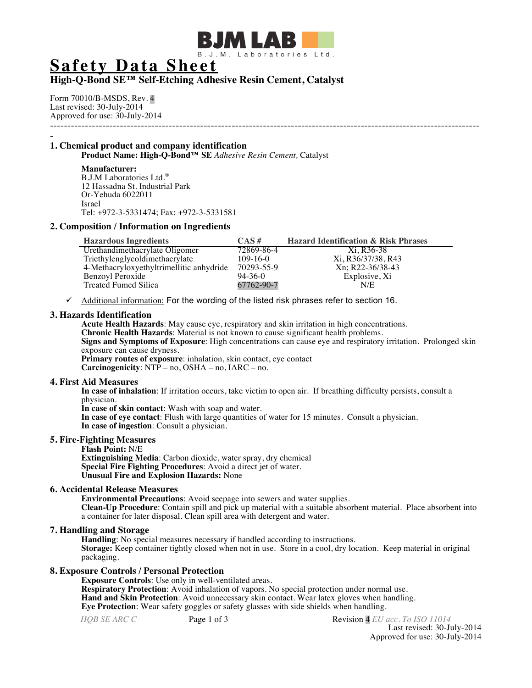

# **Safety Data Sheet**

## **High-Q-Bond SE™ Self-Etching Adhesive Resin Cement, Catalyst**

Form 70010/B-MSDS, Rev. 4 Last revised: 30-July-2014 Approved for use: 30-July-2014 ---------------------------------------------------------------------------------------------------------------------------

## - **1. Chemical product and company identification**

**Product Name: High-Q-Bond™ SE** *Adhesive Resin Cement,* Catalyst

## **Manufacturer:**

B.J.M Laboratories Ltd.® 12 Hassadna St. Industrial Park Or-Yehuda 6022011 Israel Tel: +972-3-5331474; Fax: +972-3-5331581

## **2. Composition / Information on Ingredients**

| <b>Hazardous Ingredients</b>             | $CAS \#$      | <b>Hazard Identification &amp; Risk Phrases</b> |
|------------------------------------------|---------------|-------------------------------------------------|
| Urethandimethacrylate Oligomer           | 72869-86-4    | Xi. R36-38                                      |
| Triethylenglycoldimethacrylate           | $109-16-0$    | Xi, R36/37/38, R43                              |
| 4-Methacryloxyethyltrimellitic anhydride | 70293-55-9    | Xn; R22-36/38-43                                |
| Benzoyl Peroxide                         | $94 - 36 - 0$ | Explosive, Xi                                   |
| Treated Fumed Silica                     | 67762-90-7    | N/E                                             |

 $\checkmark$  Additional information: For the wording of the listed risk phrases refer to section 16.

## **3. Hazards Identification**

**Acute Health Hazards**: May cause eye, respiratory and skin irritation in high concentrations. **Chronic Health Hazards**: Material is not known to cause significant health problems. **Signs and Symptoms of Exposure**: High concentrations can cause eye and respiratory irritation. Prolonged skin exposure can cause dryness. **Primary routes of exposure**: inhalation, skin contact, eye contact **Carcinogenicity**: NTP – no, OSHA – no, IARC – no.

#### **4. First Aid Measures**

**In case of inhalation**: If irritation occurs, take victim to open air. If breathing difficulty persists, consult a physician.

**In case of skin contact**: Wash with soap and water.

**In case of eye contact**: Flush with large quantities of water for 15 minutes. Consult a physician. **In case of ingestion**: Consult a physician.

### **5. Fire-Fighting Measures**

**Flash Point:** N/E **Extinguishing Media**: Carbon dioxide, water spray, dry chemical **Special Fire Fighting Procedures**: Avoid a direct jet of water. **Unusual Fire and Explosion Hazards:** None

## **6. Accidental Release Measures**

**Environmental Precautions**: Avoid seepage into sewers and water supplies. **Clean-Up Procedure**: Contain spill and pick up material with a suitable absorbent material. Place absorbent into a container for later disposal. Clean spill area with detergent and water.

## **7. Handling and Storage**

**Handling**: No special measures necessary if handled according to instructions. **Storage:** Keep container tightly closed when not in use. Store in a cool, dry location. Keep material in original packaging.

## **8. Exposure Controls / Personal Protection**

**Exposure Controls**: Use only in well-ventilated areas. **Respiratory Protection**: Avoid inhalation of vapors. No special protection under normal use. **Hand and Skin Protection**: Avoid unnecessary skin contact. Wear latex gloves when handling. **Eye Protection**: Wear safety goggles or safety glasses with side shields when handling.

*HQB SE ARC C* **Page 1 of 3 Revision 4** *EU acc. To ISO 11014* Last revised: 30-July-2014 Approved for use: 30-July-2014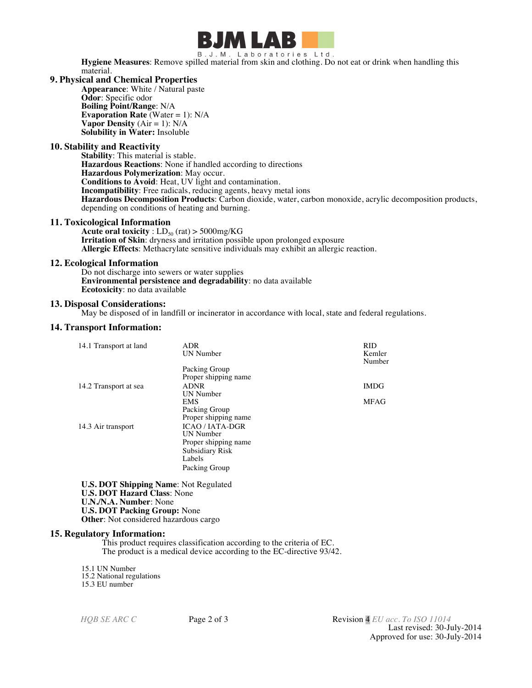

B.J.M. Laboratories Ltd. **Hygiene Measures**: Remove spilled material from skin and clothing. Do not eat or drink when handling this material.

#### **9. Physical and Chemical Properties**

**Appearance**: White / Natural paste **Odor**: Specific odor **Boiling Point/Range**: N/A **Evaporation Rate** (Water = 1): N/A **Vapor Density**  $(Air = 1)$ :  $N/A$ **Solubility in Water:** Insoluble

## **10. Stability and Reactivity**

**Stability**: This material is stable. **Hazardous Reactions**: None if handled according to directions **Hazardous Polymerization**: May occur. **Conditions to Avoid**: Heat, UV light and contamination. **Incompatibility**: Free radicals, reducing agents, heavy metal ions **Hazardous Decomposition Products**: Carbon dioxide, water, carbon monoxide, acrylic decomposition products, depending on conditions of heating and burning.

## **11. Toxicological Information**

**Acute oral toxicity** :  $LD_{50}$  (rat) > 5000mg/KG **Irritation of Skin**: dryness and irritation possible upon prolonged exposure **Allergic Effects**: Methacrylate sensitive individuals may exhibit an allergic reaction.

## **12. Ecological Information**

Do not discharge into sewers or water supplies **Environmental persistence and degradability**: no data available **Ecotoxicity**: no data available

## **13. Disposal Considerations:**

May be disposed of in landfill or incinerator in accordance with local, state and federal regulations.

## **14. Transport Information:**

| 14.1 Transport at land | ADR                    | <b>RID</b>  |
|------------------------|------------------------|-------------|
|                        | <b>UN</b> Number       | Kemler      |
|                        |                        | Number      |
|                        | Packing Group          |             |
|                        | Proper shipping name   |             |
| 14.2 Transport at sea  | <b>ADNR</b>            | <b>IMDG</b> |
|                        | <b>UN</b> Number       |             |
|                        | <b>EMS</b>             | <b>MFAG</b> |
|                        | Packing Group          |             |
|                        | Proper shipping name   |             |
| 14.3 Air transport     | <b>ICAO/IATA-DGR</b>   |             |
|                        | UN Number              |             |
|                        | Proper shipping name   |             |
|                        | <b>Subsidiary Risk</b> |             |
|                        | Labels                 |             |
|                        | Packing Group          |             |

**U.S. DOT Shipping Name**: Not Regulated **U.S. DOT Hazard Class**: None **U.N./N.A. Number**: None **U.S. DOT Packing Group:** None **Other**: Not considered hazardous cargo

#### **15. Regulatory Information:**

This product requires classification according to the criteria of EC. The product is a medical device according to the EC-directive 93/42.

15.1 UN Number 15.2 National regulations 15.3 EU number